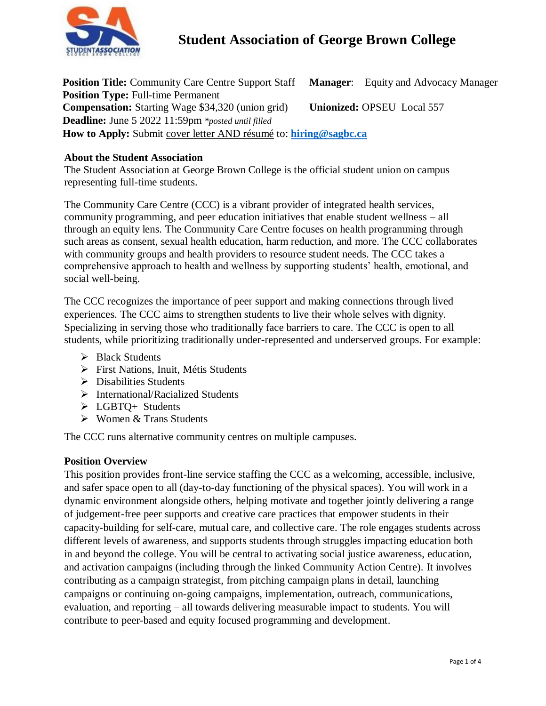

**Position Title:** Community Care Centre Support Staff **Manager**: Equity and Advocacy Manager **Unionized:** OPSEU Local 557 **Position Type:** Full-time Permanent **Compensation:** Starting Wage \$34,320 (union grid) **Deadline:** June 5 2022 11:59pm *\*posted until filled* **How to Apply:** Submit cover letter AND résumé to: **[hiring@sagbc.ca](mailto:humanresources@sagbc.ca)**

## **About the Student Association**

The Student Association at George Brown College is the official student union on campus representing full-time students.

The Community Care Centre (CCC) is a vibrant provider of integrated health services, community programming, and peer education initiatives that enable student wellness – all through an equity lens. The Community Care Centre focuses on health programming through such areas as consent, sexual health education, harm reduction, and more. The CCC collaborates with community groups and health providers to resource student needs. The CCC takes a comprehensive approach to health and wellness by supporting students' health, emotional, and social well-being.

The CCC recognizes the importance of peer support and making connections through lived experiences. The CCC aims to strengthen students to live their whole selves with dignity. Specializing in serving those who traditionally face barriers to care. The CCC is open to all students, while prioritizing traditionally under-represented and underserved groups. For example:

- > Black Students
- **First Nations, Inuit, Métis Students**
- Disabilities Students
- $\triangleright$  International/Racialized Students
- LGBTQ+ Students
- $\triangleright$  Women & Trans Students

The CCC runs alternative community centres on multiple campuses.

## **Position Overview**

This position provides front-line service staffing the CCC as a welcoming, accessible, inclusive, and safer space open to all (day-to-day functioning of the physical spaces). You will work in a dynamic environment alongside others, helping motivate and together jointly delivering a range of judgement-free peer supports and creative care practices that empower students in their capacity-building for self-care, mutual care, and collective care. The role engages students across different levels of awareness, and supports students through struggles impacting education both in and beyond the college. You will be central to activating social justice awareness, education, and activation campaigns (including through the linked Community Action Centre). It involves contributing as a campaign strategist, from pitching campaign plans in detail, launching campaigns or continuing on-going campaigns, implementation, outreach, communications, evaluation, and reporting – all towards delivering measurable impact to students. You will contribute to peer-based and equity focused programming and development.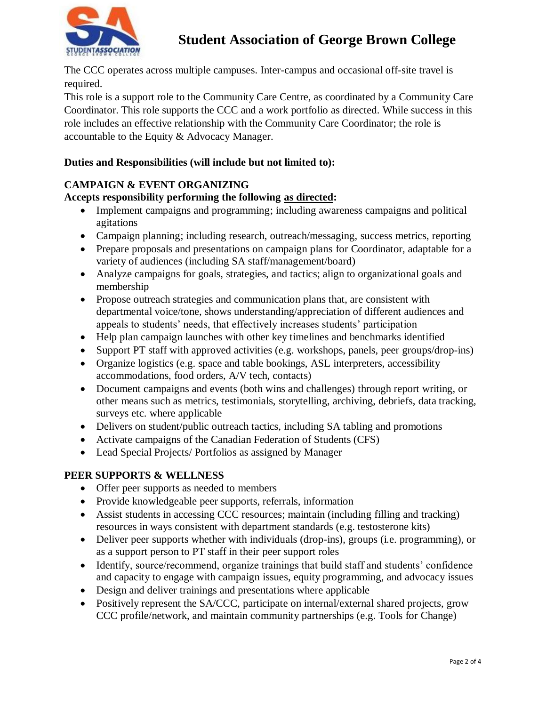

The CCC operates across multiple campuses. Inter-campus and occasional off-site travel is required.

This role is a support role to the Community Care Centre, as coordinated by a Community Care Coordinator. This role supports the CCC and a work portfolio as directed. While success in this role includes an effective relationship with the Community Care Coordinator; the role is accountable to the Equity & Advocacy Manager.

# **Duties and Responsibilities (will include but not limited to):**

# **CAMPAIGN & EVENT ORGANIZING**

## **Accepts responsibility performing the following as directed:**

- Implement campaigns and programming; including awareness campaigns and political agitations
- Campaign planning; including research, outreach/messaging, success metrics, reporting
- Prepare proposals and presentations on campaign plans for Coordinator, adaptable for a variety of audiences (including SA staff/management/board)
- Analyze campaigns for goals, strategies, and tactics; align to organizational goals and membership
- Propose outreach strategies and communication plans that, are consistent with departmental voice/tone, shows understanding/appreciation of different audiences and appeals to students' needs, that effectively increases students' participation
- Help plan campaign launches with other key timelines and benchmarks identified
- Support PT staff with approved activities (e.g. workshops, panels, peer groups/drop-ins)
- Organize logistics (e.g. space and table bookings, ASL interpreters, accessibility accommodations, food orders, A/V tech, contacts)
- Document campaigns and events (both wins and challenges) through report writing, or other means such as metrics, testimonials, storytelling, archiving, debriefs, data tracking, surveys etc. where applicable
- Delivers on student/public outreach tactics, including SA tabling and promotions
- Activate campaigns of the Canadian Federation of Students (CFS)
- Lead Special Projects/ Portfolios as assigned by Manager

## **PEER SUPPORTS & WELLNESS**

- Offer peer supports as needed to members
- Provide knowledgeable peer supports, referrals, information
- Assist students in accessing CCC resources; maintain (including filling and tracking) resources in ways consistent with department standards (e.g. testosterone kits)
- Deliver peer supports whether with individuals (drop-ins), groups (i.e. programming), or as a support person to PT staff in their peer support roles
- Identify, source/recommend, organize trainings that build staff and students' confidence and capacity to engage with campaign issues, equity programming, and advocacy issues
- Design and deliver trainings and presentations where applicable
- Positively represent the SA/CCC, participate on internal/external shared projects, grow CCC profile/network, and maintain community partnerships (e.g. Tools for Change)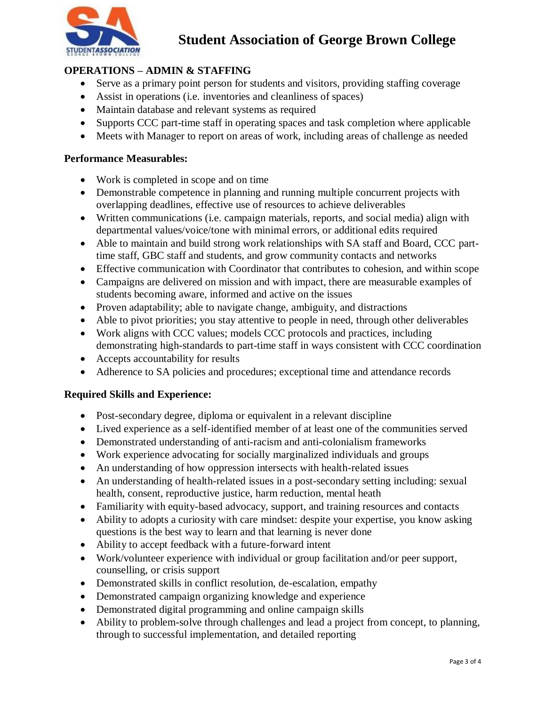

# **OPERATIONS – ADMIN & STAFFING**

- Serve as a primary point person for students and visitors, providing staffing coverage
- Assist in operations (i.e. inventories and cleanliness of spaces)
- Maintain database and relevant systems as required
- Supports CCC part-time staff in operating spaces and task completion where applicable
- Meets with Manager to report on areas of work, including areas of challenge as needed

#### **Performance Measurables:**

- Work is completed in scope and on time
- Demonstrable competence in planning and running multiple concurrent projects with overlapping deadlines, effective use of resources to achieve deliverables
- Written communications (i.e. campaign materials, reports, and social media) align with departmental values/voice/tone with minimal errors, or additional edits required
- Able to maintain and build strong work relationships with SA staff and Board, CCC parttime staff, GBC staff and students, and grow community contacts and networks
- Effective communication with Coordinator that contributes to cohesion, and within scope
- Campaigns are delivered on mission and with impact, there are measurable examples of students becoming aware, informed and active on the issues
- Proven adaptability; able to navigate change, ambiguity, and distractions
- Able to pivot priorities; you stay attentive to people in need, through other deliverables
- Work aligns with CCC values; models CCC protocols and practices, including demonstrating high-standards to part-time staff in ways consistent with CCC coordination
- Accepts accountability for results
- Adherence to SA policies and procedures; exceptional time and attendance records

## **Required Skills and Experience:**

- Post-secondary degree, diploma or equivalent in a relevant discipline
- Lived experience as a self-identified member of at least one of the communities served
- Demonstrated understanding of anti-racism and anti-colonialism frameworks
- Work experience advocating for socially marginalized individuals and groups
- An understanding of how oppression intersects with health-related issues
- An understanding of health-related issues in a post-secondary setting including: sexual health, consent, reproductive justice, harm reduction, mental heath
- Familiarity with equity-based advocacy, support, and training resources and contacts
- Ability to adopts a curiosity with care mindset: despite your expertise, you know asking questions is the best way to learn and that learning is never done
- Ability to accept feedback with a future-forward intent
- Work/volunteer experience with individual or group facilitation and/or peer support, counselling, or crisis support
- Demonstrated skills in conflict resolution, de-escalation, empathy
- Demonstrated campaign organizing knowledge and experience
- Demonstrated digital programming and online campaign skills
- Ability to problem-solve through challenges and lead a project from concept, to planning, through to successful implementation, and detailed reporting